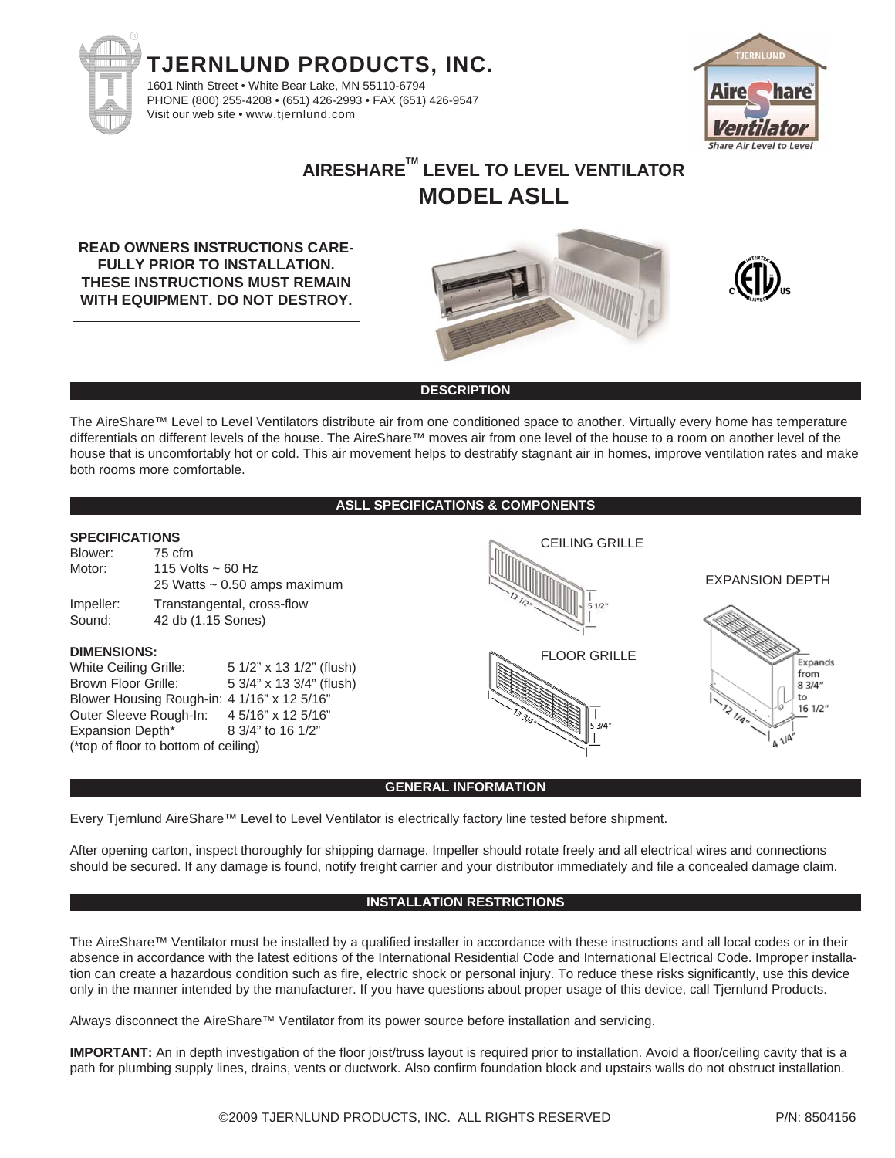



# **AIRESHARETM LEVEL TO LEVEL VENTILATOR MODEL ASLL**

**READ OWNERS INSTRUCTIONS CARE-FULLY PRIOR TO INSTALLATION. THESE INSTRUCTIONS MUST REMAIN WITH EQUIPMENT. DO NOT DESTROY.**





## **DESCRIPTION**

The AireShare™ Level to Level Ventilators distribute air from one conditioned space to another. Virtually every home has temperature differentials on different levels of the house. The AireShare™ moves air from one level of the house to a room on another level of the house that is uncomfortably hot or cold. This air movement helps to destratify stagnant air in homes, improve ventilation rates and make both rooms more comfortable.

**ASLL SPECIFICATIONS & COMPONENTS**

## **SPECIFICATIONS**

| Blower:   | 75 cfm                            |
|-----------|-----------------------------------|
| Motor:    | 115 Volts $\sim$ 60 Hz            |
|           | 25 Watts $\sim$ 0.50 amps maximum |
| Impeller: | Transtangental, cross-flow        |
| Sound:    | 42 db (1.15 Sones)                |

#### **DIMENSIONS:**

White Ceiling Grille: 5 1/2" x 13 1/2" (flush) Brown Floor Grille: 5 3/4" x 13 3/4" (flush) Blower Housing Rough-in: 4 1/16" x 12 5/16" Outer Sleeve Rough-In: 4 5/16" x 12 5/16" Expansion Depth<sup>\*</sup> 8 3/4" to 16 1/2" (\*top of floor to bottom of ceiling)



CEILING GRILLE

Expands from  $83/4''$ to  $161/2"$ 

EXPANSION DEPTH

#### **GENERAL INFORMATION**

Every Tjernlund AireShare™ Level to Level Ventilator is electrically factory line tested before shipment.

After opening carton, inspect thoroughly for shipping damage. Impeller should rotate freely and all electrical wires and connections should be secured. If any damage is found, notify freight carrier and your distributor immediately and file a concealed damage claim.

### **INSTALLATION RESTRICTIONS**

The AireShare™ Ventilator must be installed by a qualified installer in accordance with these instructions and all local codes or in their absence in accordance with the latest editions of the International Residential Code and International Electrical Code. Improper installation can create a hazardous condition such as fire, electric shock or personal injury. To reduce these risks significantly, use this device only in the manner intended by the manufacturer. If you have questions about proper usage of this device, call Tjernlund Products.

Always disconnect the AireShare™ Ventilator from its power source before installation and servicing.

**IMPORTANT:** An in depth investigation of the floor joist/truss layout is required prior to installation. Avoid a floor/ceiling cavity that is a path for plumbing supply lines, drains, vents or ductwork. Also confirm foundation block and upstairs walls do not obstruct installation.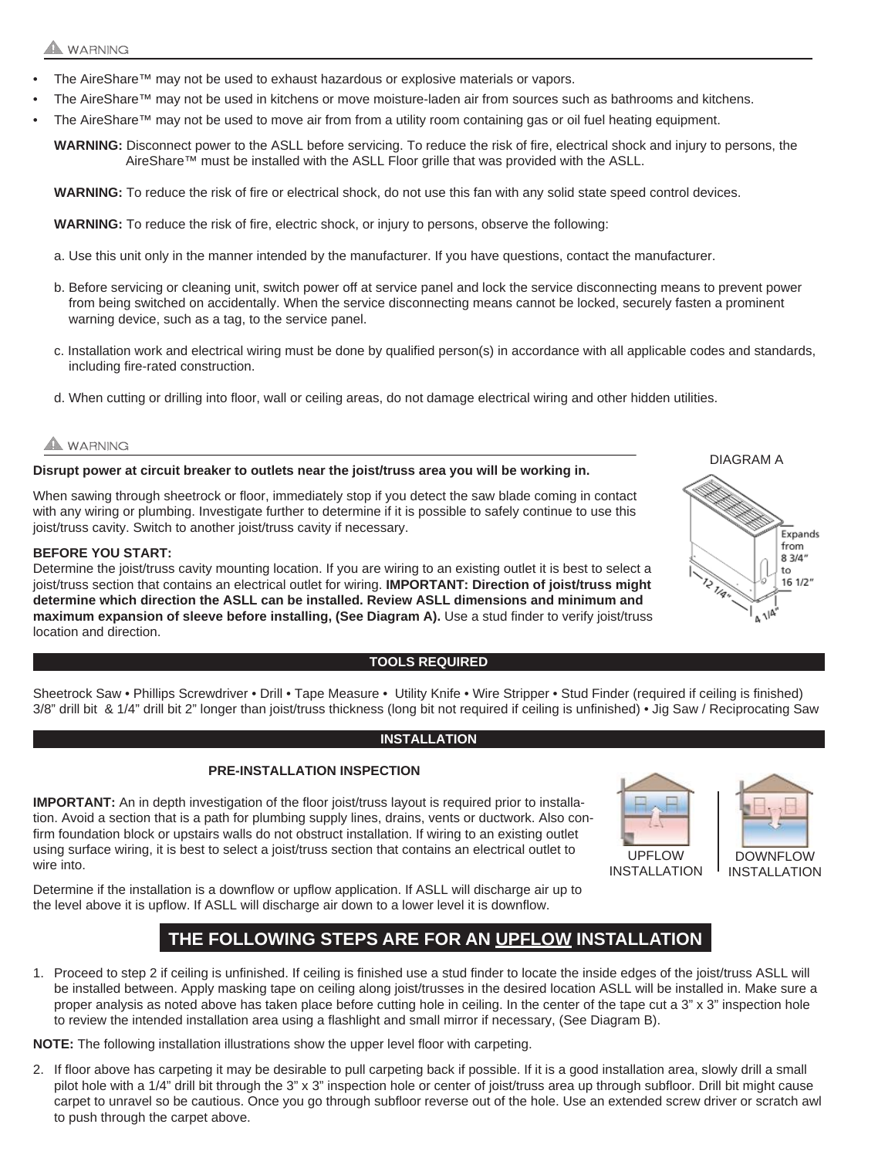## **WARNING**

- The AireShare™ may not be used to exhaust hazardous or explosive materials or vapors.
- The AireShare™ may not be used in kitchens or move moisture-laden air from sources such as bathrooms and kitchens.
- The AireShare™ may not be used to move air from from a utility room containing gas or oil fuel heating equipment.

**WARNING:** Disconnect power to the ASLL before servicing. To reduce the risk of fire, electrical shock and injury to persons, the AireShare™ must be installed with the ASLL Floor grille that was provided with the ASLL.

**WARNING:** To reduce the risk of fire or electrical shock, do not use this fan with any solid state speed control devices.

**WARNING:** To reduce the risk of fire, electric shock, or injury to persons, observe the following:

- a. Use this unit only in the manner intended by the manufacturer. If you have questions, contact the manufacturer.
- b. Before servicing or cleaning unit, switch power off at service panel and lock the service disconnecting means to prevent power from being switched on accidentally. When the service disconnecting means cannot be locked, securely fasten a prominent warning device, such as a tag, to the service panel.
- c. Installation work and electrical wiring must be done by qualified person(s) in accordance with all applicable codes and standards, including fire-rated construction.
- d. When cutting or drilling into floor, wall or ceiling areas, do not damage electrical wiring and other hidden utilities.

## **WARNING**

**Disrupt power at circuit breaker to outlets near the joist/truss area you will be working in.** 

When sawing through sheetrock or floor, immediately stop if you detect the saw blade coming in contact with any wiring or plumbing. Investigate further to determine if it is possible to safely continue to use this joist/truss cavity. Switch to another joist/truss cavity if necessary.

#### **BEFORE YOU START:**

Determine the joist/truss cavity mounting location. If you are wiring to an existing outlet it is best to select a joist/truss section that contains an electrical outlet for wiring. **IMPORTANT: Direction of joist/truss might determine which direction the ASLL can be installed. Review ASLL dimensions and minimum and maximum expansion of sleeve before installing, (See Diagram A).** Use a stud finder to verify joist/truss location and direction.

#### **TOOLS REQUIRED**



Sheetrock Saw • Phillips Screwdriver • Drill • Tape Measure • Utility Knife • Wire Stripper • Stud Finder (required if ceiling is finished) 3/8" drill bit & 1/4" drill bit 2" longer than joist/truss thickness (long bit not required if ceiling is unfinished) • Jig Saw / Reciprocating Saw

### **INSTALLATION**

#### **PRE-INSTALLATION INSPECTION**

**IMPORTANT:** An in depth investigation of the floor joist/truss layout is required prior to installation. Avoid a section that is a path for plumbing supply lines, drains, vents or ductwork. Also confirm foundation block or upstairs walls do not obstruct installation. If wiring to an existing outlet using surface wiring, it is best to select a joist/truss section that contains an electrical outlet to wire into.



INSTALLATION



Determine if the installation is a downflow or upflow application. If ASLL will discharge air up to the level above it is upflow. If ASLL will discharge air down to a lower level it is downflow.

# **THE FOLLOWING STEPS ARE FOR AN UPFLOW INSTALLATION**

1. Proceed to step 2 if ceiling is unfinished. If ceiling is finished use a stud finder to locate the inside edges of the joist/truss ASLL will be installed between. Apply masking tape on ceiling along joist/trusses in the desired location ASLL will be installed in. Make sure a proper analysis as noted above has taken place before cutting hole in ceiling. In the center of the tape cut a 3" x 3" inspection hole to review the intended installation area using a flashlight and small mirror if necessary, (See Diagram B).

**NOTE:** The following installation illustrations show the upper level floor with carpeting.

2. If floor above has carpeting it may be desirable to pull carpeting back if possible. If it is a good installation area, slowly drill a small pilot hole with a 1/4" drill bit through the 3" x 3" inspection hole or center of joist/truss area up through subfloor. Drill bit might cause carpet to unravel so be cautious. Once you go through subfloor reverse out of the hole. Use an extended screw driver or scratch awl to push through the carpet above.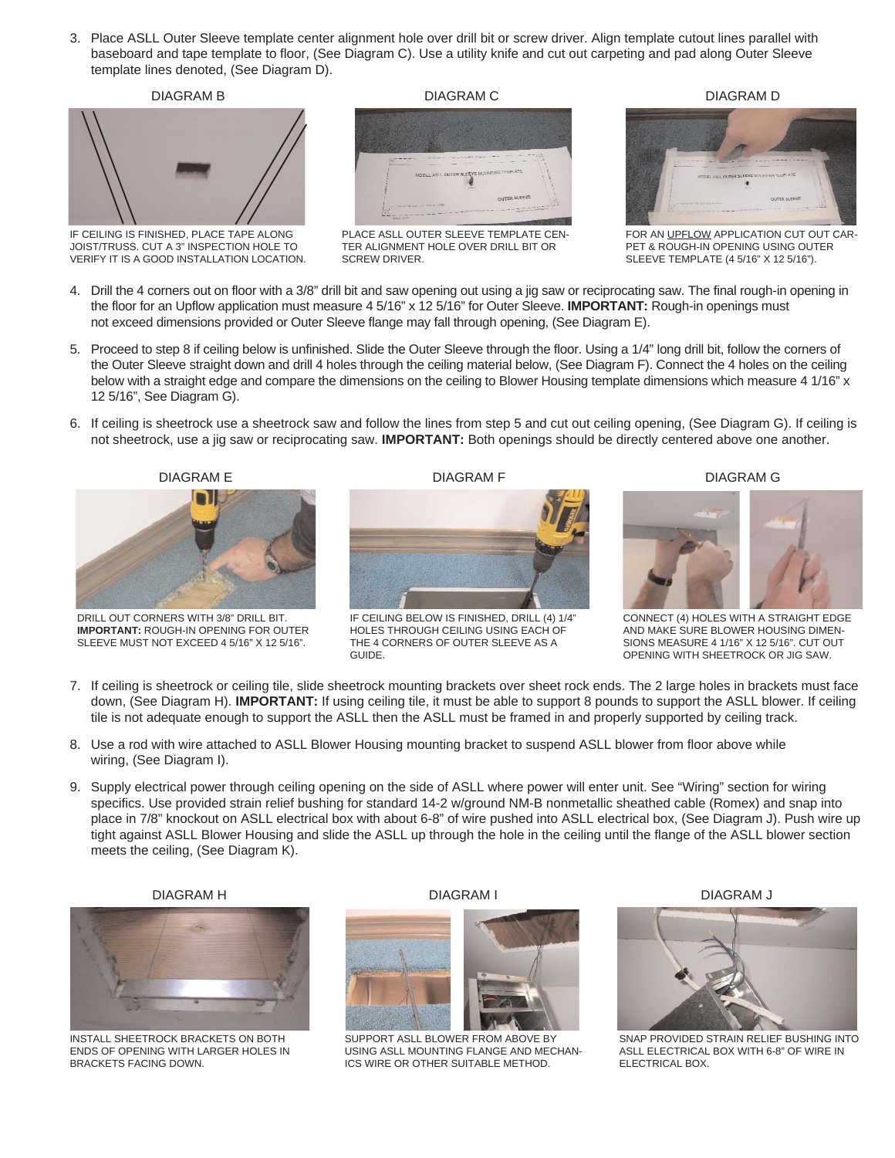3. Place ASLL Outer Sleeve template center alignment hole over drill bit or screw driver. Align template cutout lines parallel with baseboard and tape template to floor, (See Diagram C). Use a utility knife and cut out carpeting and pad along Outer Sleeve template lines denoted, (See Diagram D).



IF CEILING IS FINISHED, PLACE TAPE ALONG JOIST/TRUSS. CUT A 3" INSPECTION HOLE TO VERIFY IT IS A GOOD INSTALLATION LOCATION.

DIAGRAM B DIAGRAM C DIAGRAM D



PLACE ASLL OUTER SLEEVE TEMPLATE CEN-TER ALIGNMENT HOLE OVER DRILL BIT OR SCREW DRIVER.



FOR AN UPFLOW APPLICATION CUT OUT CAR-PET & ROUGH-IN OPENING USING OUTER SLEEVE TEMPLATE (4 5/16" X 12 5/16").

- 4. Drill the 4 corners out on floor with a 3/8" drill bit and saw opening out using a jig saw or reciprocating saw. The final rough-in opening in the floor for an Upflow application must measure 4 5/16" x 12 5/16" for Outer Sleeve. **IMPORTANT:** Rough-in openings must not exceed dimensions provided or Outer Sleeve flange may fall through opening, (See Diagram E).
- 5. Proceed to step 8 if ceiling below is unfinished. Slide the Outer Sleeve through the floor. Using a 1/4" long drill bit, follow the corners of the Outer Sleeve straight down and drill 4 holes through the ceiling material below, (See Diagram F). Connect the 4 holes on the ceiling below with a straight edge and compare the dimensions on the ceiling to Blower Housing template dimensions which measure 4 1/16" x 12 5/16", See Diagram G).
- 6. If ceiling is sheetrock use a sheetrock saw and follow the lines from step 5 and cut out ceiling opening, (See Diagram G). If ceiling is not sheetrock, use a jig saw or reciprocating saw. **IMPORTANT:** Both openings should be directly centered above one another.



DRILL OUT CORNERS WITH 3/8" DRILL BIT. **IMPORTANT:** ROUGH-IN OPENING FOR OUTER SLEEVE MUST NOT EXCEED 4 5/16" X 12 5/16".



IF CEILING BELOW IS FINISHED, DRILL (4) 1/4" HOLES THROUGH CEILING USING EACH OF THE 4 CORNERS OF OUTER SLEEVE AS A GUIDE.

DIAGRAM F DIAGRAM G



CONNECT (4) HOLES WITH A STRAIGHT EDGE AND MAKE SURE BLOWER HOUSING DIMEN-SIONS MEASURE 4 1/16" X 12 5/16". CUT OUT OPENING WITH SHEETROCK OR JIG SAW.

- 7. If ceiling is sheetrock or ceiling tile, slide sheetrock mounting brackets over sheet rock ends. The 2 large holes in brackets must face down, (See Diagram H). **IMPORTANT:** If using ceiling tile, it must be able to support 8 pounds to support the ASLL blower. If ceiling tile is not adequate enough to support the ASLL then the ASLL must be framed in and properly supported by ceiling track.
- 8. Use a rod with wire attached to ASLL Blower Housing mounting bracket to suspend ASLL blower from floor above while wiring, (See Diagram I).
- 9. Supply electrical power through ceiling opening on the side of ASLL where power will enter unit. See "Wiring" section for wiring specifics. Use provided strain relief bushing for standard 14-2 w/ground NM-B nonmetallic sheathed cable (Romex) and snap into place in 7/8" knockout on ASLL electrical box with about 6-8" of wire pushed into ASLL electrical box, (See Diagram J). Push wire up tight against ASLL Blower Housing and slide the ASLL up through the hole in the ceiling until the flange of the ASLL blower section meets the ceiling, (See Diagram K).

#### DIAGRAM H



INSTALL SHEETROCK BRACKETS ON BOTH ENDS OF OPENING WITH LARGER HOLES IN BRACKETS FACING DOWN.





SUPPORT ASLL BLOWER FROM ABOVE BY USING ASLL MOUNTING FLANGE AND MECHAN-ICS WIRE OR OTHER SUITABLE METHOD.

DIAGRAM J



SNAP PROVIDED STRAIN RELIEF BUSHING INTO ASLL ELECTRICAL BOX WITH 6-8" OF WIRE IN ELECTRICAL BOX.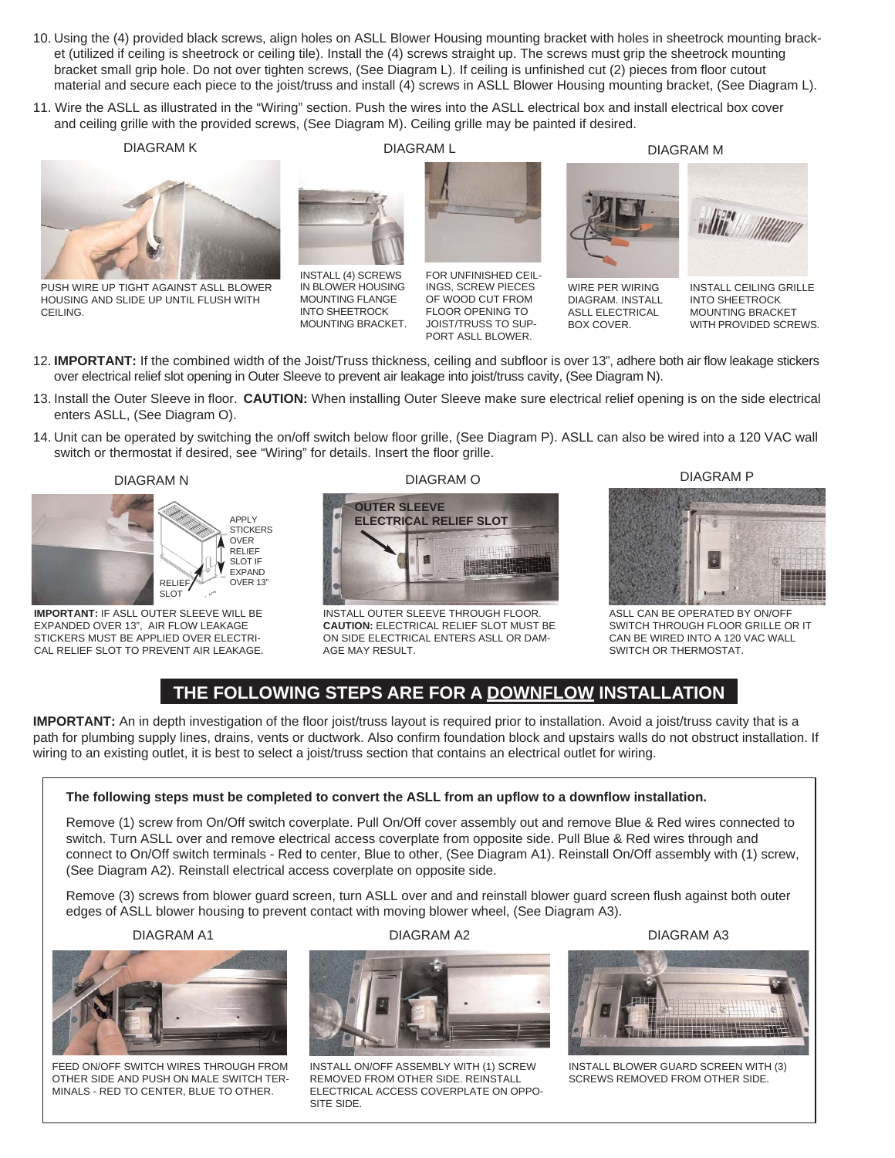- 10. Using the (4) provided black screws, align holes on ASLL Blower Housing mounting bracket with holes in sheetrock mounting bracket (utilized if ceiling is sheetrock or ceiling tile). Install the (4) screws straight up. The screws must grip the sheetrock mounting bracket small grip hole. Do not over tighten screws, (See Diagram L). If ceiling is unfinished cut (2) pieces from floor cutout material and secure each piece to the joist/truss and install (4) screws in ASLL Blower Housing mounting bracket, (See Diagram L).
- 11. Wire the ASLL as illustrated in the "Wiring" section. Push the wires into the ASLL electrical box and install electrical box cover and ceiling grille with the provided screws, (See Diagram M). Ceiling grille may be painted if desired.

INSTALL (4) SCREWS IN BLOWER HOUSING MOUNTING FLANGE INTO SHEETROCK MOUNTING BRACKET.

DIAGRAM K



PUSH WIRE UP TIGHT AGAINST ASLL BLOWER HOUSING AND SLIDE UP UNTIL FLUSH WITH CEILING.

DIAGRAM L



FOR UNFINISHED CEIL-INGS, SCREW PIECES OF WOOD CUT FROM FLOOR OPENING TO JOIST/TRUSS TO SUP-PORT ASLL BLOWER.

DIAGRAM M

WIRE PER WIRING DIAGRAM. INSTALL ASLL ELECTRICAL BOX COVER.



INSTALL CEILING GRILLE INTO SHEETROCK MOUNTING BRACKET WITH PROVIDED SCREWS.

- 12. **IMPORTANT:** If the combined width of the Joist/Truss thickness, ceiling and subfloor is over 13", adhere both air flow leakage stickers over electrical relief slot opening in Outer Sleeve to prevent air leakage into joist/truss cavity, (See Diagram N).
- 13. Install the Outer Sleeve in floor. **CAUTION:** When installing Outer Sleeve make sure electrical relief opening is on the side electrical enters ASLL, (See Diagram O).
- 14. Unit can be operated by switching the on/off switch below floor grille, (See Diagram P). ASLL can also be wired into a 120 VAC wall switch or thermostat if desired, see "Wiring" for details. Insert the floor grille.





**IMPORTANT:** IF ASLL OUTER SLEEVE WILL BE EXPANDED OVER 13", AIR FLOW LEAKAGE STICKERS MUST BE APPLIED OVER ELECTRI-CAL RELIEF SLOT TO PREVENT AIR LEAKAGE. DIAGRAM O



INSTALL OUTER SLEEVE THROUGH FLOOR. **CAUTION:** ELECTRICAL RELIEF SLOT MUST BE ON SIDE ELECTRICAL ENTERS ASLL OR DAM-**AGE MAY RESULT** 

DIAGRAM P



ASLL CAN BE OPERATED BY ON/OFF SWITCH THROUGH FLOOR GRILLE OR IT CAN BE WIRED INTO A 120 VAC WALL SWITCH OR THERMOSTAT.

# **THE FOLLOWING STEPS ARE FOR A DOWNFLOW INSTALLATION**

**IMPORTANT:** An in depth investigation of the floor joist/truss layout is required prior to installation. Avoid a joist/truss cavity that is a path for plumbing supply lines, drains, vents or ductwork. Also confirm foundation block and upstairs walls do not obstruct installation. If wiring to an existing outlet, it is best to select a joist/truss section that contains an electrical outlet for wiring.

#### **The following steps must be completed to convert the ASLL from an upflow to a downflow installation.**

Remove (1) screw from On/Off switch coverplate. Pull On/Off cover assembly out and remove Blue & Red wires connected to switch. Turn ASLL over and remove electrical access coverplate from opposite side. Pull Blue & Red wires through and connect to On/Off switch terminals - Red to center, Blue to other, (See Diagram A1). Reinstall On/Off assembly with (1) screw, (See Diagram A2). Reinstall electrical access coverplate on opposite side.

Remove (3) screws from blower guard screen, turn ASLL over and and reinstall blower guard screen flush against both outer edges of ASLL blower housing to prevent contact with moving blower wheel, (See Diagram A3).



FEED ON/OFF SWITCH WIRES THROUGH FROM OTHER SIDE AND PUSH ON MALE SWITCH TER-MINALS - RED TO CENTER, BLUE TO OTHER.

DIAGRAM A1 DIAGRAM A2



INSTALL ON/OFF ASSEMBLY WITH (1) SCREW REMOVED FROM OTHER SIDE. REINSTALL ELECTRICAL ACCESS COVERPLATE ON OPPO-SITE SIDE.



DIAGRAM A3

INSTALL BLOWER GUARD SCREEN WITH (3) SCREWS REMOVED FROM OTHER SIDE.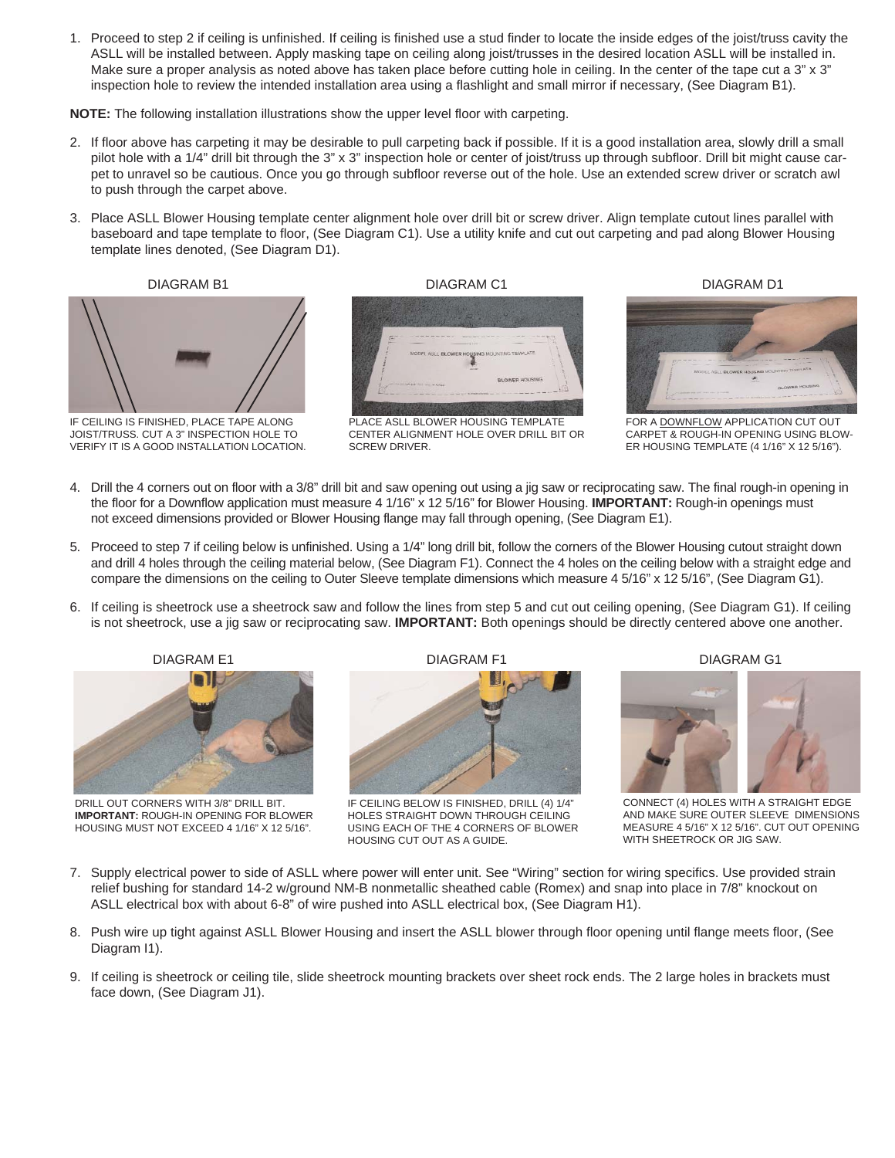1. Proceed to step 2 if ceiling is unfinished. If ceiling is finished use a stud finder to locate the inside edges of the joist/truss cavity the ASLL will be installed between. Apply masking tape on ceiling along joist/trusses in the desired location ASLL will be installed in. Make sure a proper analysis as noted above has taken place before cutting hole in ceiling. In the center of the tape cut a 3" x 3" inspection hole to review the intended installation area using a flashlight and small mirror if necessary, (See Diagram B1).

**NOTE:** The following installation illustrations show the upper level floor with carpeting.

- 2. If floor above has carpeting it may be desirable to pull carpeting back if possible. If it is a good installation area, slowly drill a small pilot hole with a 1/4" drill bit through the 3" x 3" inspection hole or center of joist/truss up through subfloor. Drill bit might cause carpet to unravel so be cautious. Once you go through subfloor reverse out of the hole. Use an extended screw driver or scratch awl to push through the carpet above.
- 3. Place ASLL Blower Housing template center alignment hole over drill bit or screw driver. Align template cutout lines parallel with baseboard and tape template to floor, (See Diagram C1). Use a utility knife and cut out carpeting and pad along Blower Housing template lines denoted, (See Diagram D1).



IF CEILING IS FINISHED, PLACE TAPE ALONG JOIST/TRUSS. CUT A 3" INSPECTION HOLE TO VERIFY IT IS A GOOD INSTALLATION LOCATION.



PLACE ASLL BLOWER HOUSING TEMPLATE CENTER ALIGNMENT HOLE OVER DRILL BIT OR SCREW DRIVER.

DIAGRAM B1 DIAGRAM C1 DIAGRAM D1



FOR A DOWNFLOW APPLICATION CUT OUT CARPET & ROUGH-IN OPENING USING BLOW-ER HOUSING TEMPLATE (4 1/16" X 12 5/16").

- 4. Drill the 4 corners out on floor with a 3/8" drill bit and saw opening out using a jig saw or reciprocating saw. The final rough-in opening in the floor for a Downflow application must measure 4 1/16" x 12 5/16" for Blower Housing. **IMPORTANT:** Rough-in openings must not exceed dimensions provided or Blower Housing flange may fall through opening, (See Diagram E1).
- 5. Proceed to step 7 if ceiling below is unfinished. Using a 1/4" long drill bit, follow the corners of the Blower Housing cutout straight down and drill 4 holes through the ceiling material below, (See Diagram F1). Connect the 4 holes on the ceiling below with a straight edge and compare the dimensions on the ceiling to Outer Sleeve template dimensions which measure 4 5/16" x 12 5/16", (See Diagram G1).
- 6. If ceiling is sheetrock use a sheetrock saw and follow the lines from step 5 and cut out ceiling opening, (See Diagram G1). If ceiling is not sheetrock, use a jig saw or reciprocating saw. **IMPORTANT:** Both openings should be directly centered above one another.



DRILL OUT CORNERS WITH 3/8" DRILL BIT. **IMPORTANT:** ROUGH-IN OPENING FOR BLOWER HOUSING MUST NOT EXCEED 4 1/16" X 12 5/16".



IF CEILING BELOW IS FINISHED, DRILL (4) 1/4" HOLES STRAIGHT DOWN THROUGH CEILING USING EACH OF THE 4 CORNERS OF BLOWER HOUSING CUT OUT AS A GUIDE.

DIAGRAM G1



CONNECT (4) HOLES WITH A STRAIGHT EDGE AND MAKE SURE OUTER SLEEVE DIMENSIONS MEASURE 4 5/16" X 12 5/16". CUT OUT OPENING WITH SHEETROCK OR JIG SAW.

- 7. Supply electrical power to side of ASLL where power will enter unit. See "Wiring" section for wiring specifics. Use provided strain relief bushing for standard 14-2 w/ground NM-B nonmetallic sheathed cable (Romex) and snap into place in 7/8" knockout on ASLL electrical box with about 6-8" of wire pushed into ASLL electrical box, (See Diagram H1).
- 8. Push wire up tight against ASLL Blower Housing and insert the ASLL blower through floor opening until flange meets floor, (See Diagram I1).
- 9. If ceiling is sheetrock or ceiling tile, slide sheetrock mounting brackets over sheet rock ends. The 2 large holes in brackets must face down, (See Diagram J1).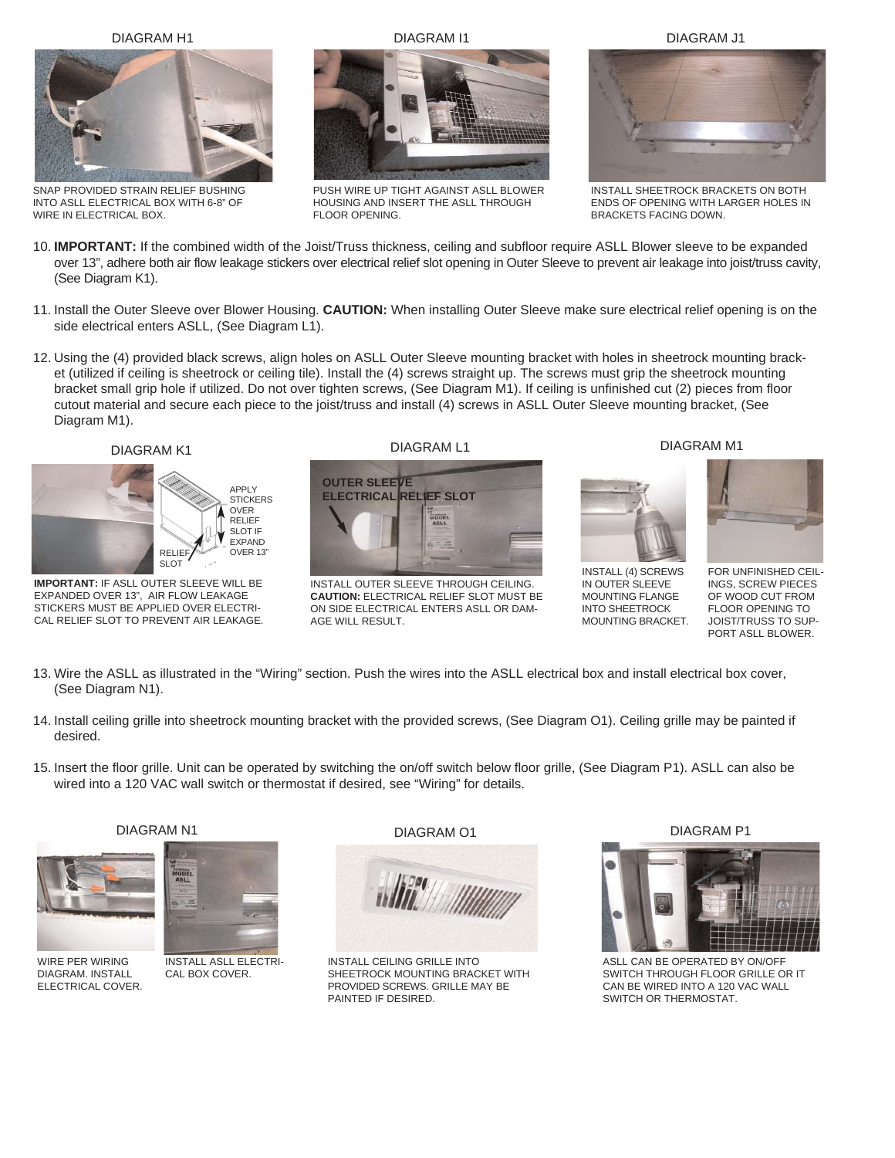DIAGRAM H1



SNAP PROVIDED STRAIN RELIEF BUSHING INTO ASLL ELECTRICAL BOX WITH 6-8" OF WIRE IN ELECTRICAL BOX.

DIAGRAM I1



PUSH WIRE UP TIGHT AGAINST ASLL BLOWER HOUSING AND INSERT THE ASLL THROUGH FLOOR OPENING.



INSTALL SHEETROCK BRACKETS ON BOTH ENDS OF OPENING WITH LARGER HOLES IN BRACKETS FACING DOWN.

- 10. **IMPORTANT:** If the combined width of the Joist/Truss thickness, ceiling and subfloor require ASLL Blower sleeve to be expanded over 13", adhere both air flow leakage stickers over electrical relief slot opening in Outer Sleeve to prevent air leakage into joist/truss cavity, (See Diagram K1).
- 11. Install the Outer Sleeve over Blower Housing. **CAUTION:** When installing Outer Sleeve make sure electrical relief opening is on the side electrical enters ASLL, (See Diagram L1).
- 12. Using the (4) provided black screws, align holes on ASLL Outer Sleeve mounting bracket with holes in sheetrock mounting bracket (utilized if ceiling is sheetrock or ceiling tile). Install the (4) screws straight up. The screws must grip the sheetrock mounting bracket small grip hole if utilized. Do not over tighten screws, (See Diagram M1). If ceiling is unfinished cut (2) pieces from floor cutout material and secure each piece to the joist/truss and install (4) screws in ASLL Outer Sleeve mounting bracket, (See Diagram M1).



**IMPORTANT:** IF ASLL OUTER SLEEVE WILL BE EXPANDED OVER 13", AIR FLOW LEAKAGE STICKERS MUST BE APPLIED OVER ELECTRI-CAL RELIEF SLOT TO PREVENT AIR LEAKAGE.



INSTALL OUTER SLEEVE THROUGH CEILING. **CAUTION:** ELECTRICAL RELIEF SLOT MUST BE ON SIDE ELECTRICAL ENTERS ASLL OR DAM-AGE WILL RESULT.

#### DIAGRAM M1



INSTALL (4) SCREWS IN OUTER SLEEVE MOUNTING FLANGE INTO SHEETROCK MOUNTING BRACKET.



FOR UNFINISHED CEIL-INGS, SCREW PIECES OF WOOD CUT FROM FLOOR OPENING TO JOIST/TRUSS TO SUP-PORT ASLL BLOWER.

- 13. Wire the ASLL as illustrated in the "Wiring" section. Push the wires into the ASLL electrical box and install electrical box cover, (See Diagram N1).
- 14. Install ceiling grille into sheetrock mounting bracket with the provided screws, (See Diagram O1). Ceiling grille may be painted if desired.
- 15. Insert the floor grille. Unit can be operated by switching the on/off switch below floor grille, (See Diagram P1). ASLL can also be wired into a 120 VAC wall switch or thermostat if desired, see "Wiring" for details.



WIRE PER WIRING DIAGRAM. INSTALL ELECTRICAL COVER.

DIAGRAM N1

**MODE** 

INSTALL ASLL ELECTRI-CAL BOX COVER.



INSTALL CEILING GRILLE INTO SHEETROCK MOUNTING BRACKET WITH PROVIDED SCREWS. GRILLE MAY BE PAINTED IF DESIRED.

DIAGRAM P1



ASLL CAN BE OPERATED BY ON/OFF SWITCH THROUGH FLOOR GRILLE OR IT CAN BE WIRED INTO A 120 VAC WALL SWITCH OR THERMOSTAT.

DIAGRAM J1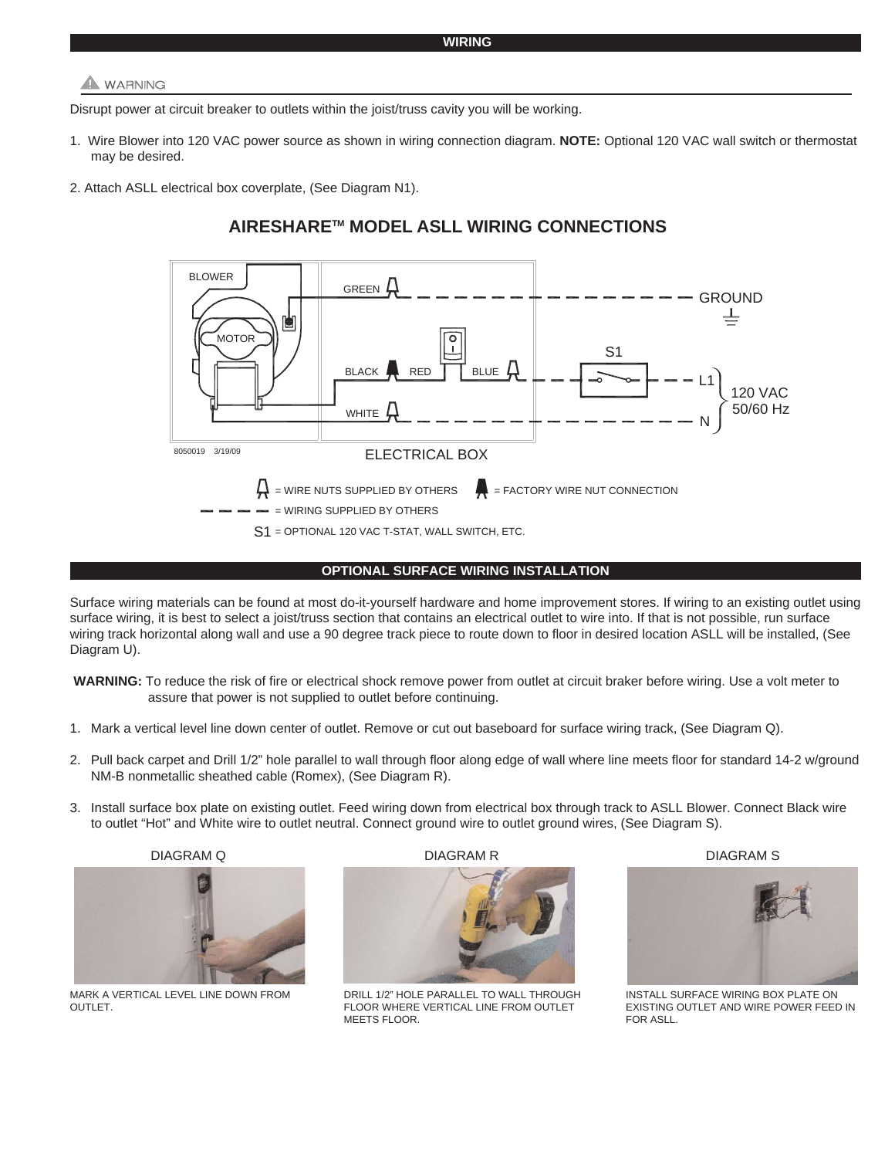## **A** WARNING

Disrupt power at circuit breaker to outlets within the joist/truss cavity you will be working.

- 1. Wire Blower into 120 VAC power source as shown in wiring connection diagram. **NOTE:** Optional 120 VAC wall switch or thermostat may be desired.
- 2. Attach ASLL electrical box coverplate, (See Diagram N1).

## **AIRESHARETM MODEL ASLL WIRING CONNECTIONS**



#### **OPTIONAL SURFACE WIRING INSTALLATION**

Surface wiring materials can be found at most do-it-yourself hardware and home improvement stores. If wiring to an existing outlet using surface wiring, it is best to select a joist/truss section that contains an electrical outlet to wire into. If that is not possible, run surface wiring track horizontal along wall and use a 90 degree track piece to route down to floor in desired location ASLL will be installed, (See Diagram U).

**WARNING:** To reduce the risk of fire or electrical shock remove power from outlet at circuit braker before wiring. Use a volt meter to assure that power is not supplied to outlet before continuing.

- 1. Mark a vertical level line down center of outlet. Remove or cut out baseboard for surface wiring track, (See Diagram Q).
- 2. Pull back carpet and Drill 1/2" hole parallel to wall through floor along edge of wall where line meets floor for standard 14-2 w/ground NM-B nonmetallic sheathed cable (Romex), (See Diagram R).
- 3. Install surface box plate on existing outlet. Feed wiring down from electrical box through track to ASLL Blower. Connect Black wire to outlet "Hot" and White wire to outlet neutral. Connect ground wire to outlet ground wires, (See Diagram S).





MARK A VERTICAL LEVEL LINE DOWN FROM OUTLET.

DIAGRAM Q DIAGRAM R DIAGRAM S



DRILL 1/2" HOLE PARALLEL TO WALL THROUGH FLOOR WHERE VERTICAL LINE FROM OUTLET MEETS FLOOR.



INSTALL SURFACE WIRING BOX PLATE ON EXISTING OUTLET AND WIRE POWER FEED IN FOR ASLL.